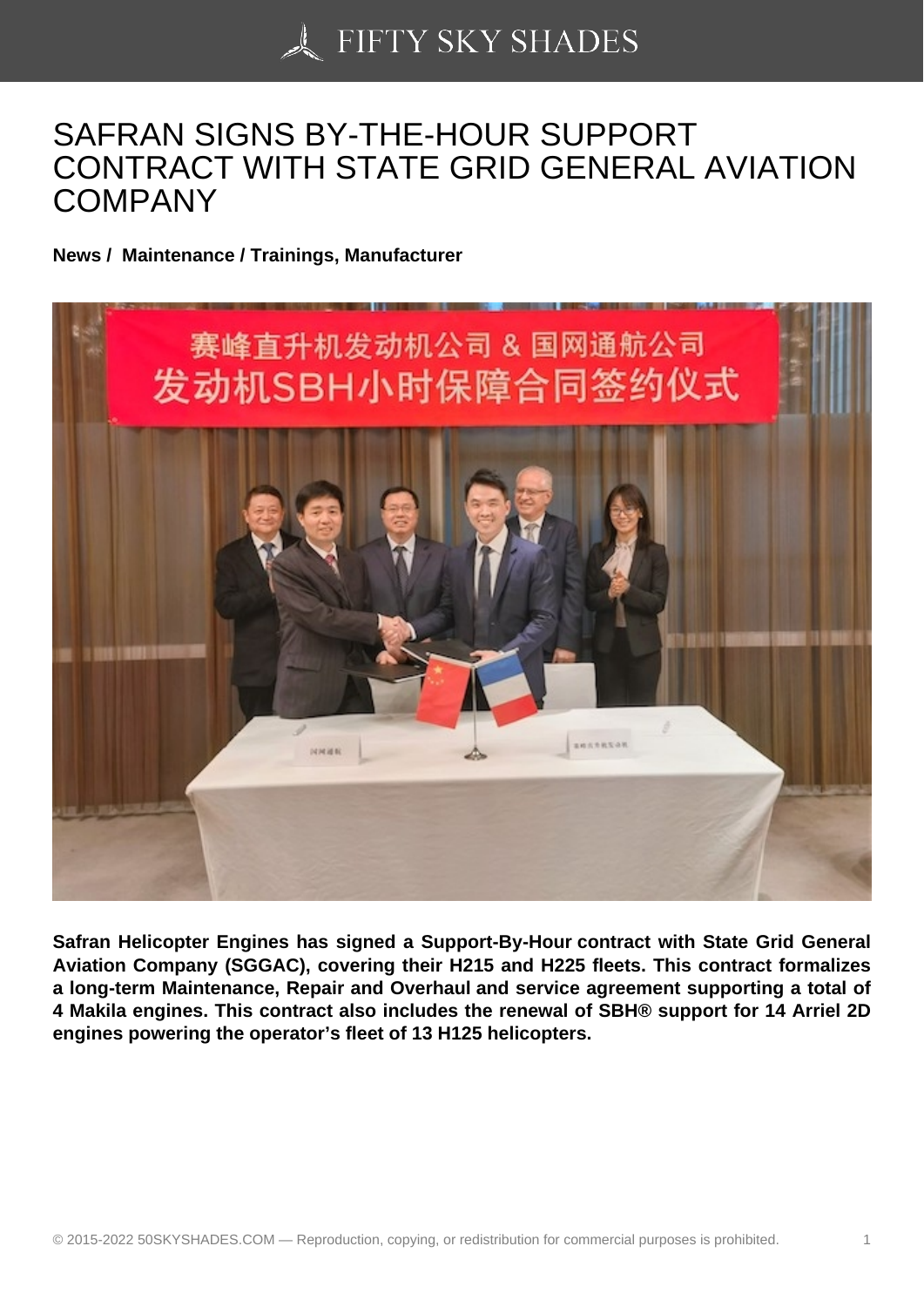## [SAFRAN SIGNS BY-T](https://50skyshades.com)HE-HOUR SUPPORT CONTRACT WITH STATE GRID GENERAL AVIATION **COMPANY**

News / Maintenance / Trainings, Manufacturer

Safran Helicopter Engines has signed a Support-By-Hour contract with State Grid General Aviation Company (SGGAC), covering their H215 and H225 fleets. This contract formalizes a long-term Maintenance, Repair and Overhaul and service agreement supporting a total of 4 Makila engines. This contract also includes the renewal of SBH® support for 14 Arriel 2D engines powering the operator's fleet of 13 H125 helicopters.